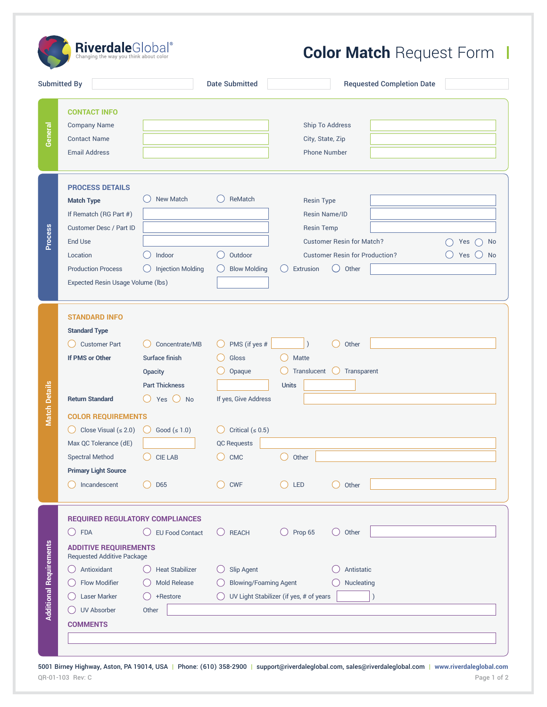$\textbf{Riverdale} \text{Global}^{\text{\textregistered}}$ 

## **Color Match Request Form |**

| <b>Submitted By</b>                                                                                                                                                                                                                |                                                                                                               | <b>Date Submitted</b>                                                               | <b>Requested Completion Date</b>                                                                                                                                                                                        |
|------------------------------------------------------------------------------------------------------------------------------------------------------------------------------------------------------------------------------------|---------------------------------------------------------------------------------------------------------------|-------------------------------------------------------------------------------------|-------------------------------------------------------------------------------------------------------------------------------------------------------------------------------------------------------------------------|
| <b>CONTACT INFO</b><br><b>Company Name</b><br><b>Contact Name</b><br><b>Email Address</b>                                                                                                                                          |                                                                                                               |                                                                                     | Ship To Address<br>City, State, Zip<br><b>Phone Number</b>                                                                                                                                                              |
| <b>PROCESS DETAILS</b><br><b>Match Type</b><br>If Rematch (RG Part #)<br>Customer Desc / Part ID<br><b>End Use</b><br>Location<br><b>Production Process</b><br>Expected Resin Usage Volume (lbs)                                   | <b>New Match</b><br>Indoor<br><b>Injection Molding</b>                                                        | ReMatch<br>Outdoor<br>$($ )<br><b>Blow Molding</b>                                  | <b>Resin Type</b><br>Resin Name/ID<br><b>Resin Temp</b><br><b>Customer Resin for Match?</b><br>Yes<br><b>No</b><br><b>Customer Resin for Production?</b><br>Yes<br>No<br>$\left(\right)$<br>Extrusion<br>Other<br>$($ ) |
| <b>STANDARD INFO</b><br><b>Standard Type</b><br><b>Customer Part</b><br>If PMS or Other<br><b>Return Standard</b><br><b>COLOR REQUIREMENTS</b><br>Close Visual $( \le 2.0)$<br>$($ )                                               | Concentrate/MB<br>Surface finish<br>Opacity<br><b>Part Thickness</b><br>Yes $()$<br>No<br>Good $( \leq 1.0 )$ | PMS (if yes #<br>Gloss<br>Opaque<br>If yes, Give Address<br>Critical ( $\leq 0.5$ ) | Other<br>Matte<br>Translucent<br>Transparent<br>$($ )<br><b>Units</b>                                                                                                                                                   |
| Max QC Tolerance (dE)<br><b>Spectral Method</b><br><b>Primary Light Source</b><br>Incandescent                                                                                                                                     | <b>CIE LAB</b><br>D65                                                                                         | <b>QC Requests</b><br><b>CMC</b><br><b>CWF</b>                                      | Other<br>LED<br>Other                                                                                                                                                                                                   |
| <b>REQUIRED REGULATORY COMPLIANCES</b><br><b>FDA</b><br>$($ )<br><b>ADDITIVE REQUIREMENTS</b><br><b>Requested Additive Package</b><br>Antioxidant<br>Flow Modifier<br><b>Laser Marker</b><br><b>UV Absorber</b><br><b>COMMENTS</b> | <b>EU Food Contact</b><br><b>Heat Stabilizer</b><br><b>Mold Release</b><br>+Restore<br>Other                  | $\bigcirc$ REACH<br>Slip Agent<br><b>Blowing/Foaming Agent</b>                      | Prop 65<br>Other<br>( )<br>$($ )<br>Antistatic<br>Nucleating<br>UV Light Stabilizer (if yes, # of years                                                                                                                 |